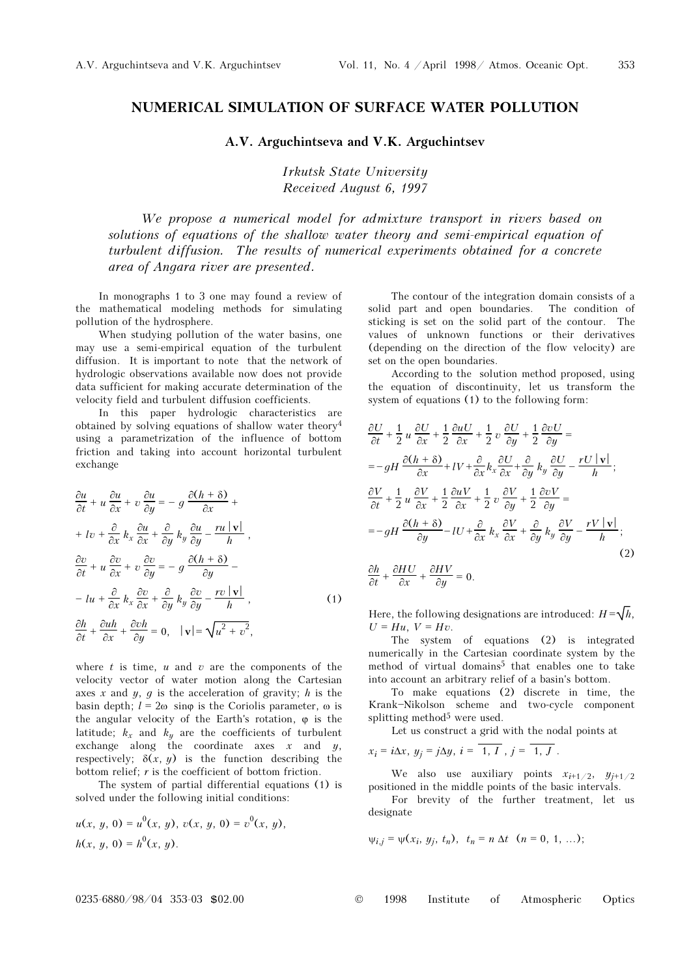## NUMERICAL SIMULATION OF SURFACE WATER POLLUTION

## A.V. Arguchintseva and V.K. Arguchintsev

Irkutsk State University Received August 6, 1997

We propose a numerical model for admixture transport in rivers based on solutions of equations of the shallow water theory and semi-empirical equation of turbulent diffusion. The results of numerical experiments obtained for a concrete area of Angara river are presented.

In monographs 1 to 3 one may found a review of the mathematical modeling methods for simulating pollution of the hydrosphere.

When studying pollution of the water basins, one may use a semi-empirical equation of the turbulent diffusion. It is important to note that the network of hydrologic observations available now does not provide data sufficient for making accurate determination of the velocity field and turbulent diffusion coefficients.

In this paper hydrologic characteristics are obtained by solving equations of shallow water theory<sup>4</sup> using a parametrization of the influence of bottom friction and taking into account horizontal turbulent exchange

$$
\frac{\partial u}{\partial t} + u \frac{\partial u}{\partial x} + v \frac{\partial u}{\partial y} = -g \frac{\partial (h + \delta)}{\partial x} ++ Iv + \frac{\partial}{\partial x} k_x \frac{\partial u}{\partial x} + \frac{\partial}{\partial y} k_y \frac{\partial u}{\partial y} - \frac{ru | \mathbf{v} |}{h},\n\frac{\partial v}{\partial t} + u \frac{\partial v}{\partial x} + v \frac{\partial v}{\partial y} = -g \frac{\partial (h + \delta)}{\partial y} -- Iu + \frac{\partial}{\partial x} k_x \frac{\partial v}{\partial x} + \frac{\partial}{\partial y} k_y \frac{\partial v}{\partial y} - \frac{rv | \mathbf{v} |}{h},\n\frac{\partial h}{\partial t} + \frac{\partial uh}{\partial x} + \frac{\partial vh}{\partial y} = 0, \quad |\mathbf{v}| = \sqrt{u^2 + v^2},
$$
\n(1)

where  $t$  is time,  $u$  and  $v$  are the components of the velocity vector of water motion along the Cartesian axes x and  $y$ ,  $q$  is the acceleration of gravity; h is the basin depth;  $l = 2\omega$  sin $\omega$  is the Coriolis parameter,  $\omega$  is the angular velocity of the Earth's rotation,  $\varphi$  is the latitude;  $k_x$  and  $k_y$  are the coefficients of turbulent exchange along the coordinate axes  $x$  and  $y$ , respectively:  $\delta(x, y)$  is the function describing the bottom relief; r is the coefficient of bottom friction.

The system of partial differential equations (1) is solved under the following initial conditions:

$$
u(x, y, 0) = u^{0}(x, y), v(x, y, 0) = v^{0}(x, y),
$$
  

$$
h(x, y, 0) = h^{0}(x, y).
$$

The contour of the integration domain consists of a solid part and open boundaries. The condition of sticking is set on the solid part of the contour. The values of unknown functions or their derivatives (depending on the direction of the flow velocity) are set on the open boundaries.

According to the solution method proposed, using the equation of discontinuity, let us transform the system of equations (1) to the following form:

$$
\frac{\partial U}{\partial t} + \frac{1}{2} u \frac{\partial U}{\partial x} + \frac{1}{2} \frac{\partial u U}{\partial x} + \frac{1}{2} v \frac{\partial U}{\partial y} + \frac{1}{2} \frac{\partial v U}{\partial y} =
$$
\n
$$
= -gH \frac{\partial (h + \delta)}{\partial x} + IV + \frac{\partial}{\partial x} k_x \frac{\partial U}{\partial x} + \frac{\partial}{\partial y} k_y \frac{\partial U}{\partial y} - \frac{rU|v|}{h};
$$
\n
$$
\frac{\partial V}{\partial t} + \frac{1}{2} u \frac{\partial V}{\partial x} + \frac{1}{2} \frac{\partial u V}{\partial x} + \frac{1}{2} v \frac{\partial V}{\partial y} + \frac{1}{2} \frac{\partial v V}{\partial y} =
$$
\n
$$
= -gH \frac{\partial (h + \delta)}{\partial y} - IU + \frac{\partial}{\partial x} k_x \frac{\partial V}{\partial x} + \frac{\partial}{\partial y} k_y \frac{\partial V}{\partial y} - \frac{rV|v|}{h};
$$
\n
$$
\frac{\partial h}{\partial t} + \frac{\partial HU}{\partial x} + \frac{\partial HV}{\partial y} = 0.
$$
\n(2)

Here, the following designations are introduced:  $H = \sqrt{h}$ ,  $U = Hu$ ,  $V = Hv$ .

The system of equations (2) is integrated numerically in the Cartesian coordinate system by the method of virtual domains<sup>5</sup> that enables one to take into account an arbitrary relief of a basin's bottom.

To make equations (2) discrete in time, the Krank-Nikolson scheme and two-cycle component splitting method<sup>5</sup> were used.

Let us construct a grid with the nodal points at

$$
x_i = i\Delta x, y_j = j\Delta y, i = 1, I, j = 1, J
$$
.

We also use auxiliary points  $x_{i+1/2}$ ,  $y_{i+1/2}$ positioned in the middle points of the basic intervals.

For brevity of the further treatment, let us designate

$$
\psi_{i,j} = \psi(x_i, y_j, t_n), t_n = n \Delta t \quad (n = 0, 1, ...);
$$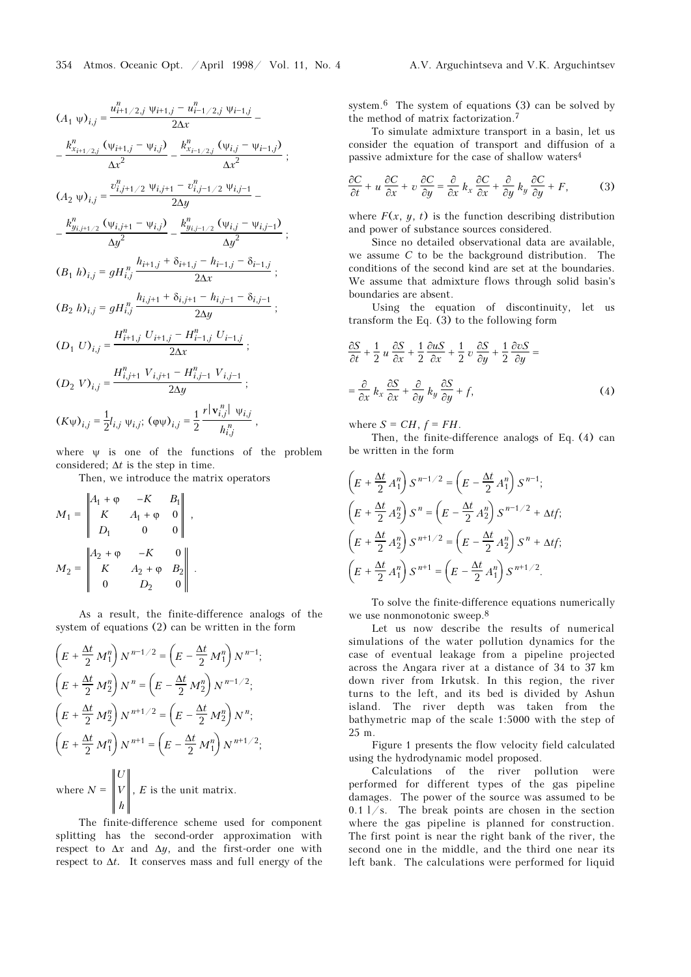$$
(A_1 \psi)_{i,j} = \frac{u_{i+1/2,j}^n \psi_{i+1,j} - u_{i-1/2,j}^n \psi_{i-1,j}}{2\Delta x} - \frac{k_{x_{i+1/2,j}}^n (\psi_{i+1,j} - \psi_{i,j})}{\Delta x^2} - \frac{k_{x_{i-1/2,j}}^n (\psi_{i,j} - \psi_{i-1,j})}{\Delta x^2};
$$
  
\n
$$
(A_2 \psi)_{i,j} = \frac{v_{i,j+1/2}^n \psi_{i,j+1} - v_{i,j-1/2}^n \psi_{i,j-1}}{2\Delta y} - \frac{k_{y_{i,j+1/2}}^n (\psi_{i,j} - \psi_{i,j-1})}{\Delta y^2} - \frac{k_{y_{i,j+1/2}}^n (\psi_{i,j} - \psi_{i,j-1})}{\Delta y^2};
$$
  
\n
$$
(B_1 \ h)_{i,j} = gH_{i,j}^n \frac{h_{i+1,j} + \delta_{i+1,j} - h_{i-1,j} - \delta_{i-1,j}}{2\Delta x};
$$
  
\n
$$
(B_2 \ h)_{i,j} = gH_{i,j}^n \frac{h_{i,j+1} + \delta_{i,j+1} - h_{i,j-1} - \delta_{i,j-1}}{2\Delta y};
$$
  
\n
$$
(D_1 \ U)_{i,j} = \frac{H_{i+1,j}^n U_{i+1,j} - H_{i-1,j}^n U_{i-1,j}}{2\Delta x};
$$
  
\n
$$
(D_2 \ V)_{i,j} = \frac{H_{i,j+1}^n V_{i,j+1} - H_{i,j-1}^n V_{i,j-1}}{2\Delta y};
$$
  
\n
$$
(K_{\psi})_{i,j} = \frac{1}{2}l_{i,j} \psi_{i,j}; \ (\varphi \psi)_{i,j} = \frac{1}{2} \frac{r |\mathbf{v}_{i,j}^n| \psi_{i,j}}{h_{i,j}^n},
$$

where  $\psi$  is one of the functions of the problem considered;  $\Delta t$  is the step in time.

Then, we introduce the matrix operators

$$
M_1 = \begin{vmatrix} A_1 + \varphi & -K & B_1 \\ K & A_1 + \varphi & 0 \\ D_1 & 0 & 0 \end{vmatrix},
$$
  

$$
M_2 = \begin{vmatrix} A_2 + \varphi & -K & 0 \\ K & A_2 + \varphi & B_2 \\ 0 & D_2 & 0 \end{vmatrix}.
$$

As a result, the finite-difference analogs of the system of equations (2) can be written in the form

$$
\left(E + \frac{\Delta t}{2} M_1^n\right) N^{n-1/2} = \left(E - \frac{\Delta t}{2} M_1^n\right) N^{n-1};
$$
\n
$$
\left(E + \frac{\Delta t}{2} M_2^n\right) N^n = \left(E - \frac{\Delta t}{2} M_2^n\right) N^{n-1/2};
$$
\n
$$
\left(E + \frac{\Delta t}{2} M_2^n\right) N^{n+1/2} = \left(E - \frac{\Delta t}{2} M_2^n\right) N^n;
$$
\n
$$
\left(E + \frac{\Delta t}{2} M_1^n\right) N^{n+1} = \left(E - \frac{\Delta t}{2} M_1^n\right) N^{n+1/2};
$$
\n
$$
\|U\|
$$

where  $N = ||V||$ h ,  $E$  is the unit matrix.

The finite-difference scheme used for component splitting has the second-order approximation with respect to  $\Delta x$  and  $\Delta y$ , and the first-order one with respect to  $\Delta t$ . It conserves mass and full energy of the system.<sup>6</sup> The system of equations (3) can be solved by the method of matrix factorization.<sup>7</sup>

To simulate admixture transport in a basin, let us consider the equation of transport and diffusion of a passive admixture for the case of shallow waters<sup>4</sup>

$$
\frac{\partial C}{\partial t} + u \frac{\partial C}{\partial x} + v \frac{\partial C}{\partial y} = \frac{\partial}{\partial x} k_x \frac{\partial C}{\partial x} + \frac{\partial}{\partial y} k_y \frac{\partial C}{\partial y} + F,
$$
 (3)

where  $F(x, y, t)$  is the function describing distribution and power of substance sources considered.

Since no detailed observational data are available, we assume C to be the background distribution. The conditions of the second kind are set at the boundaries. We assume that admixture flows through solid basin's boundaries are absent.

Using the equation of discontinuity, let us transform the Eq. (3) to the following form

$$
\frac{\partial S}{\partial t} + \frac{1}{2} u \frac{\partial S}{\partial x} + \frac{1}{2} \frac{\partial u S}{\partial x} + \frac{1}{2} v \frac{\partial S}{\partial y} + \frac{1}{2} \frac{\partial v S}{\partial y} =
$$

$$
= \frac{\partial}{\partial x} k_x \frac{\partial S}{\partial x} + \frac{\partial}{\partial y} k_y \frac{\partial S}{\partial y} + f,
$$
(4)

where  $S = CH$ ,  $f = FH$ .

Then, the finite-difference analogs of Eq. (4) can be written in the form

$$
\left(E + \frac{\Delta t}{2} A_1^n\right) S^{n-1/2} = \left(E - \frac{\Delta t}{2} A_1^n\right) S^{n-1};
$$
\n
$$
\left(E + \frac{\Delta t}{2} A_2^n\right) S^n = \left(E - \frac{\Delta t}{2} A_2^n\right) S^{n-1/2} + \Delta t f;
$$
\n
$$
\left(E + \frac{\Delta t}{2} A_2^n\right) S^{n+1/2} = \left(E - \frac{\Delta t}{2} A_2^n\right) S^n + \Delta t f;
$$
\n
$$
\left(E + \frac{\Delta t}{2} A_1^n\right) S^{n+1} = \left(E - \frac{\Delta t}{2} A_1^n\right) S^{n+1/2}.
$$

To solve the finite-difference equations numerically we use nonmonotonic sweep.<sup>8</sup>

Let us now describe the results of numerical simulations of the water pollution dynamics for the case of eventual leakage from a pipeline projected across the Angara river at a distance of 34 to 37 km down river from Irkutsk. In this region, the river turns to the left, and its bed is divided by Ashun island. The river depth was taken from the bathymetric map of the scale 1:5000 with the step of 25 m.

Figure 1 presents the flow velocity field calculated using the hydrodynamic model proposed.

Calculations of the river pollution were performed for different types of the gas pipeline damages. The power of the source was assumed to be  $0.1$  l/s. The break points are chosen in the section where the gas pipeline is planned for construction. The first point is near the right bank of the river, the second one in the middle, and the third one near its left bank. The calculations were performed for liquid